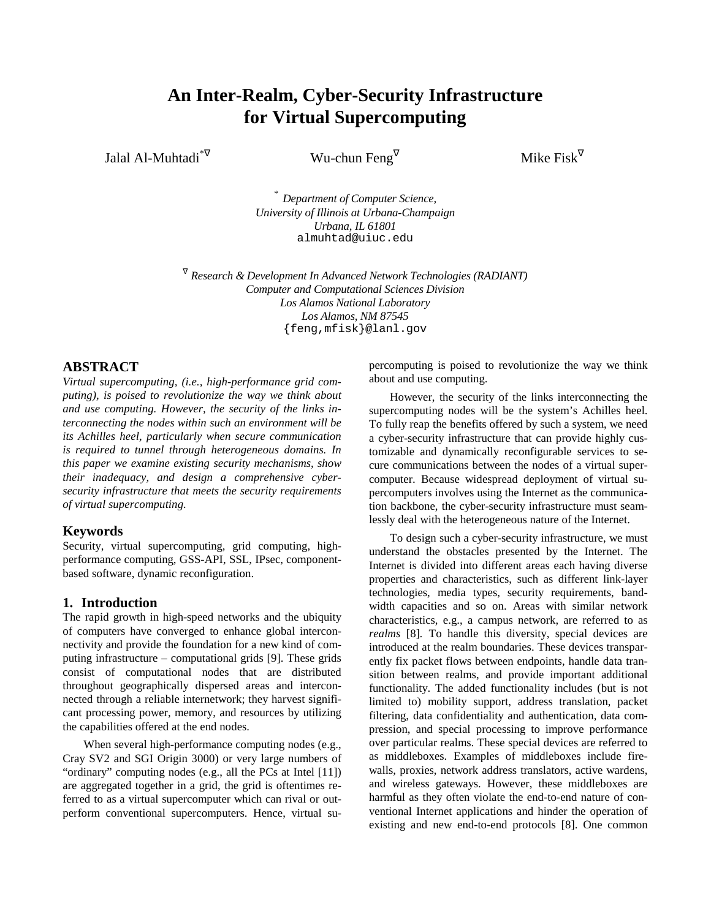# **An Inter-Realm, Cyber-Security Infrastructure for Virtual Supercomputing**

Jalal Al-Muhtadi

Wu-chun Feng $\nabla$ 

 $\nabla$  Mike Fisk<sup> $\nabla$ </sup>

*\* Department of Computer Science, University of Illinois at Urbana-Champaign Urbana, IL 61801* almuhtad@uiuc.edu

<sup>∇</sup> *Research & Development In Advanced Network Technologies (RADIANT) Computer and Computational Sciences Division Los Alamos National Laboratory Los Alamos, NM 87545* {feng,mfisk}@lanl.gov

## **ABSTRACT**

*Virtual supercomputing, (i.e., high-performance grid computing), is poised to revolutionize the way we think about and use computing. However, the security of the links interconnecting the nodes within such an environment will be its Achilles heel, particularly when secure communication is required to tunnel through heterogeneous domains. In this paper we examine existing security mechanisms, show their inadequacy, and design a comprehensive cybersecurity infrastructure that meets the security requirements of virtual supercomputing.*

## **Keywords**

Security, virtual supercomputing, grid computing, highperformance computing, GSS-API, SSL, IPsec, componentbased software, dynamic reconfiguration.

## **1. Introduction**

The rapid growth in high-speed networks and the ubiquity of computers have converged to enhance global interconnectivity and provide the foundation for a new kind of computing infrastructure – computational grids [9]. These grids consist of computational nodes that are distributed throughout geographically dispersed areas and interconnected through a reliable internetwork; they harvest significant processing power, memory, and resources by utilizing the capabilities offered at the end nodes.

When several high-performance computing nodes (e.g., Cray SV2 and SGI Origin 3000) or very large numbers of "ordinary" computing nodes (e.g., all the PCs at Intel [11]) are aggregated together in a grid, the grid is oftentimes referred to as a virtual supercomputer which can rival or outperform conventional supercomputers. Hence, virtual supercomputing is poised to revolutionize the way we think about and use computing.

However, the security of the links interconnecting the supercomputing nodes will be the system's Achilles heel. To fully reap the benefits offered by such a system, we need a cyber-security infrastructure that can provide highly customizable and dynamically reconfigurable services to secure communications between the nodes of a virtual supercomputer. Because widespread deployment of virtual supercomputers involves using the Internet as the communication backbone, the cyber-security infrastructure must seamlessly deal with the heterogeneous nature of the Internet.

To design such a cyber-security infrastructure, we must understand the obstacles presented by the Internet. The Internet is divided into different areas each having diverse properties and characteristics, such as different link-layer technologies, media types, security requirements, bandwidth capacities and so on. Areas with similar network characteristics, e.g., a campus network, are referred to as *realms* [8]*.* To handle this diversity, special devices are introduced at the realm boundaries. These devices transparently fix packet flows between endpoints, handle data transition between realms, and provide important additional functionality. The added functionality includes (but is not limited to) mobility support, address translation, packet filtering, data confidentiality and authentication, data compression, and special processing to improve performance over particular realms. These special devices are referred to as middleboxes. Examples of middleboxes include firewalls, proxies, network address translators, active wardens, and wireless gateways. However, these middleboxes are harmful as they often violate the end-to-end nature of conventional Internet applications and hinder the operation of existing and new end-to-end protocols [8]. One common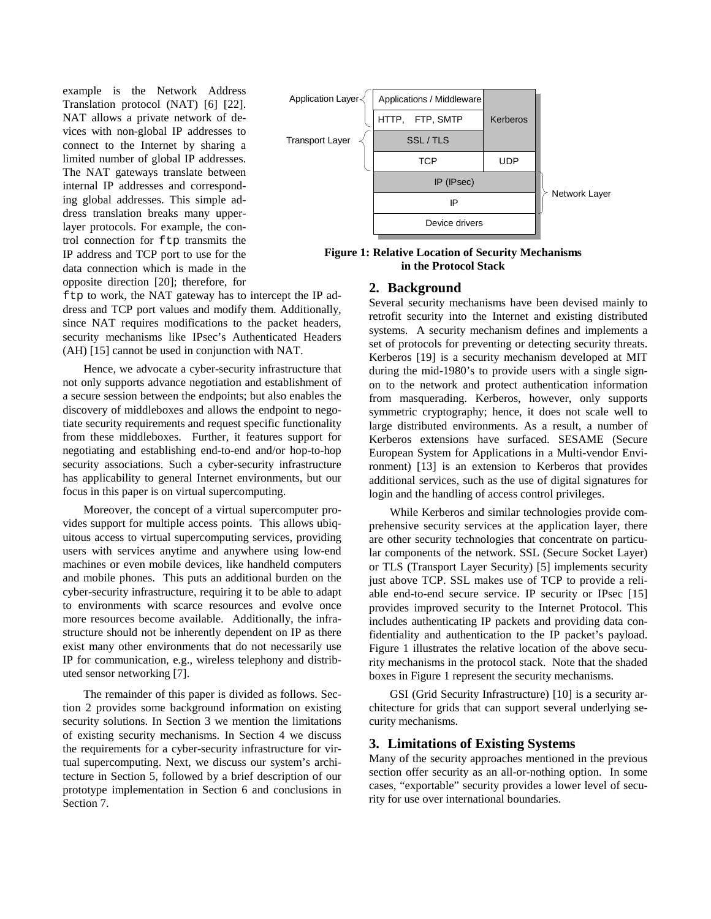example is the Network Address Translation protocol (NAT) [6] [22]. NAT allows a private network of devices with non-global IP addresses to connect to the Internet by sharing a limited number of global IP addresses. The NAT gateways translate between internal IP addresses and corresponding global addresses. This simple address translation breaks many upperlayer protocols. For example, the control connection for ftp transmits the IP address and TCP port to use for the data connection which is made in the opposite direction [20]; therefore, for



**Figure 1: Relative Location of Security Mechanisms in the Protocol Stack**

#### **2. Background**

ftp to work, the NAT gateway has to intercept the IP address and TCP port values and modify them. Additionally, since NAT requires modifications to the packet headers, security mechanisms like IPsec's Authenticated Headers (AH) [15] cannot be used in conjunction with NAT.

Hence, we advocate a cyber-security infrastructure that not only supports advance negotiation and establishment of a secure session between the endpoints; but also enables the discovery of middleboxes and allows the endpoint to negotiate security requirements and request specific functionality from these middleboxes. Further, it features support for negotiating and establishing end-to-end and/or hop-to-hop security associations. Such a cyber-security infrastructure has applicability to general Internet environments, but our focus in this paper is on virtual supercomputing.

Moreover, the concept of a virtual supercomputer provides support for multiple access points. This allows ubiquitous access to virtual supercomputing services, providing users with services anytime and anywhere using low-end machines or even mobile devices, like handheld computers and mobile phones. This puts an additional burden on the cyber-security infrastructure, requiring it to be able to adapt to environments with scarce resources and evolve once more resources become available. Additionally, the infrastructure should not be inherently dependent on IP as there exist many other environments that do not necessarily use IP for communication, e.g., wireless telephony and distributed sensor networking [7].

The remainder of this paper is divided as follows. Section 2 provides some background information on existing security solutions. In Section 3 we mention the limitations of existing security mechanisms. In Section 4 we discuss the requirements for a cyber-security infrastructure for virtual supercomputing. Next, we discuss our system's architecture in Section 5, followed by a brief description of our prototype implementation in Section 6 and conclusions in Section 7.

Several security mechanisms have been devised mainly to retrofit security into the Internet and existing distributed systems. A security mechanism defines and implements a set of protocols for preventing or detecting security threats. Kerberos [19] is a security mechanism developed at MIT during the mid-1980's to provide users with a single signon to the network and protect authentication information from masquerading. Kerberos, however, only supports symmetric cryptography; hence, it does not scale well to large distributed environments. As a result, a number of Kerberos extensions have surfaced. SESAME (Secure European System for Applications in a Multi-vendor Environment) [13] is an extension to Kerberos that provides additional services, such as the use of digital signatures for login and the handling of access control privileges.

While Kerberos and similar technologies provide comprehensive security services at the application layer, there are other security technologies that concentrate on particular components of the network. SSL (Secure Socket Layer) or TLS (Transport Layer Security) [5] implements security just above TCP. SSL makes use of TCP to provide a reliable end-to-end secure service. IP security or IPsec [15] provides improved security to the Internet Protocol. This includes authenticating IP packets and providing data confidentiality and authentication to the IP packet's payload. Figure 1 illustrates the relative location of the above security mechanisms in the protocol stack. Note that the shaded boxes in Figure 1 represent the security mechanisms.

GSI (Grid Security Infrastructure) [10] is a security architecture for grids that can support several underlying security mechanisms.

## **3. Limitations of Existing Systems**

Many of the security approaches mentioned in the previous section offer security as an all-or-nothing option. In some cases, "exportable" security provides a lower level of security for use over international boundaries.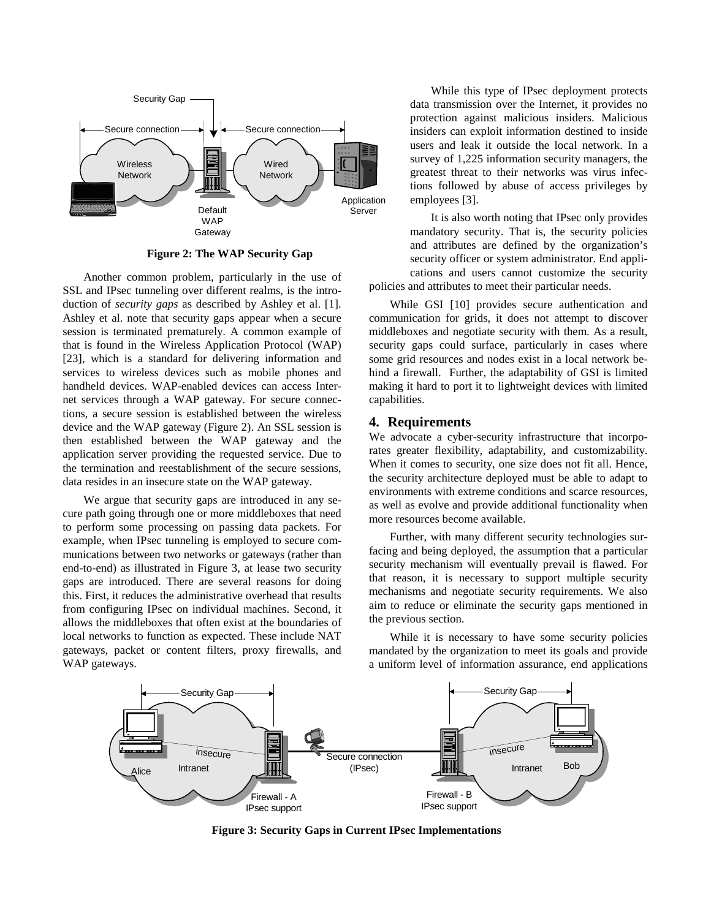

**Figure 2: The WAP Security Gap**

Another common problem, particularly in the use of SSL and IPsec tunneling over different realms, is the introduction of *security gaps* as described by Ashley et al. [1]. Ashley et al. note that security gaps appear when a secure session is terminated prematurely. A common example of that is found in the Wireless Application Protocol (WAP) [23], which is a standard for delivering information and services to wireless devices such as mobile phones and handheld devices. WAP-enabled devices can access Internet services through a WAP gateway. For secure connections, a secure session is established between the wireless device and the WAP gateway (Figure 2). An SSL session is then established between the WAP gateway and the application server providing the requested service. Due to the termination and reestablishment of the secure sessions, data resides in an insecure state on the WAP gateway.

We argue that security gaps are introduced in any secure path going through one or more middleboxes that need to perform some processing on passing data packets. For example, when IPsec tunneling is employed to secure communications between two networks or gateways (rather than end-to-end) as illustrated in Figure 3, at lease two security gaps are introduced. There are several reasons for doing this. First, it reduces the administrative overhead that results from configuring IPsec on individual machines. Second, it allows the middleboxes that often exist at the boundaries of local networks to function as expected. These include NAT gateways, packet or content filters, proxy firewalls, and WAP gateways.

While this type of IPsec deployment protects data transmission over the Internet, it provides no protection against malicious insiders. Malicious insiders can exploit information destined to inside users and leak it outside the local network. In a survey of 1,225 information security managers, the greatest threat to their networks was virus infections followed by abuse of access privileges by employees [3].

It is also worth noting that IPsec only provides mandatory security. That is, the security policies and attributes are defined by the organization's security officer or system administrator. End applications and users cannot customize the security policies and attributes to meet their particular needs.

While GSI [10] provides secure authentication and communication for grids, it does not attempt to discover middleboxes and negotiate security with them. As a result, security gaps could surface, particularly in cases where some grid resources and nodes exist in a local network behind a firewall. Further, the adaptability of GSI is limited making it hard to port it to lightweight devices with limited capabilities.

## **4. Requirements**

We advocate a cyber-security infrastructure that incorporates greater flexibility, adaptability, and customizability. When it comes to security, one size does not fit all. Hence, the security architecture deployed must be able to adapt to environments with extreme conditions and scarce resources, as well as evolve and provide additional functionality when more resources become available.

Further, with many different security technologies surfacing and being deployed, the assumption that a particular security mechanism will eventually prevail is flawed. For that reason, it is necessary to support multiple security mechanisms and negotiate security requirements. We also aim to reduce or eliminate the security gaps mentioned in the previous section.

While it is necessary to have some security policies mandated by the organization to meet its goals and provide a uniform level of information assurance, end applications



**Figure 3: Security Gaps in Current IPsec Implementations**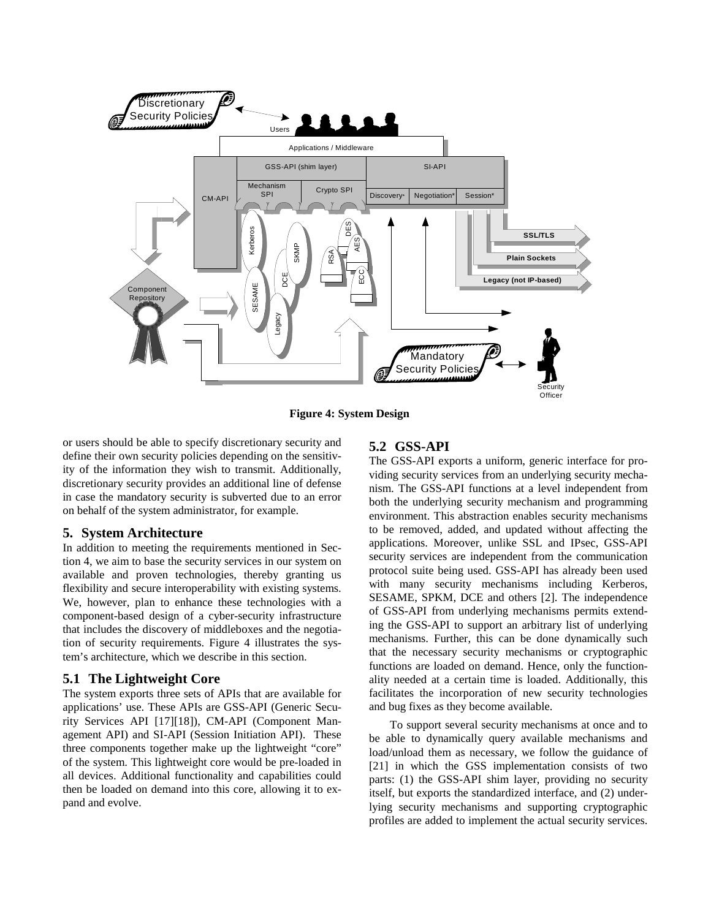

**Figure 4: System Design**

or users should be able to specify discretionary security and define their own security policies depending on the sensitivity of the information they wish to transmit. Additionally, discretionary security provides an additional line of defense in case the mandatory security is subverted due to an error on behalf of the system administrator, for example.

#### **5. System Architecture**

In addition to meeting the requirements mentioned in Section 4, we aim to base the security services in our system on available and proven technologies, thereby granting us flexibility and secure interoperability with existing systems. We, however, plan to enhance these technologies with a component-based design of a cyber-security infrastructure that includes the discovery of middleboxes and the negotiation of security requirements. Figure 4 illustrates the system's architecture, which we describe in this section.

## **5.1 The Lightweight Core**

The system exports three sets of APIs that are available for applications' use. These APIs are GSS-API (Generic Security Services API [17][18]), CM-API (Component Management API) and SI-API (Session Initiation API). These three components together make up the lightweight "core" of the system. This lightweight core would be pre-loaded in all devices. Additional functionality and capabilities could then be loaded on demand into this core, allowing it to expand and evolve.

## **5.2 GSS-API**

The GSS-API exports a uniform, generic interface for providing security services from an underlying security mechanism. The GSS-API functions at a level independent from both the underlying security mechanism and programming environment. This abstraction enables security mechanisms to be removed, added, and updated without affecting the applications. Moreover, unlike SSL and IPsec, GSS-API security services are independent from the communication protocol suite being used. GSS-API has already been used with many security mechanisms including Kerberos, SESAME, SPKM, DCE and others [2]. The independence of GSS-API from underlying mechanisms permits extending the GSS-API to support an arbitrary list of underlying mechanisms. Further, this can be done dynamically such that the necessary security mechanisms or cryptographic functions are loaded on demand. Hence, only the functionality needed at a certain time is loaded. Additionally, this facilitates the incorporation of new security technologies and bug fixes as they become available.

To support several security mechanisms at once and to be able to dynamically query available mechanisms and load/unload them as necessary, we follow the guidance of [21] in which the GSS implementation consists of two parts: (1) the GSS-API shim layer, providing no security itself, but exports the standardized interface, and (2) underlying security mechanisms and supporting cryptographic profiles are added to implement the actual security services.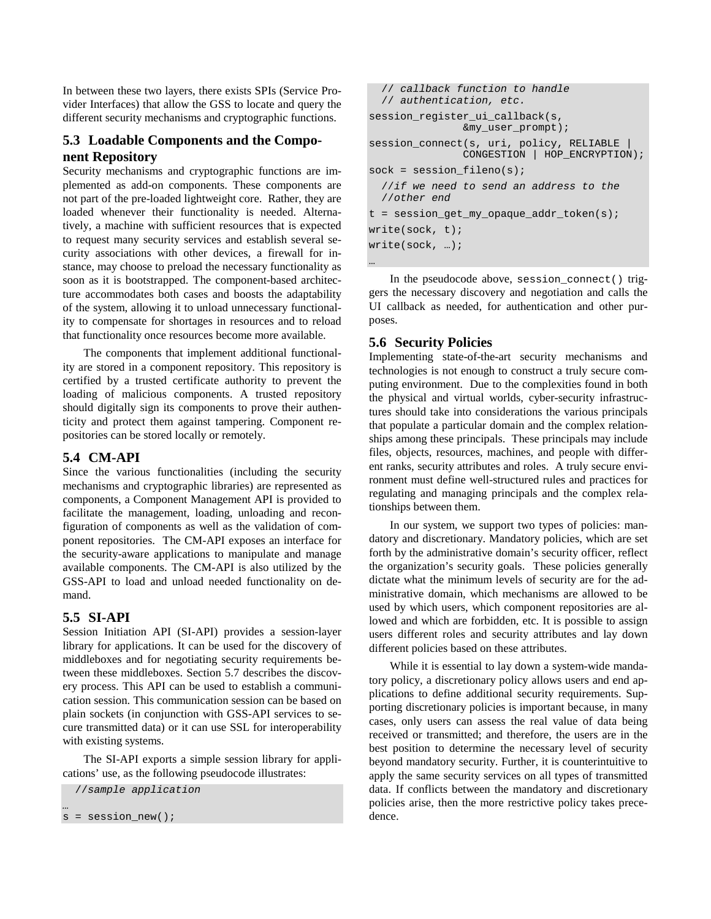In between these two layers, there exists SPIs (Service Provider Interfaces) that allow the GSS to locate and query the different security mechanisms and cryptographic functions.

# **5.3 Loadable Components and the Component Repository**

Security mechanisms and cryptographic functions are implemented as add-on components. These components are not part of the pre-loaded lightweight core. Rather, they are loaded whenever their functionality is needed. Alternatively, a machine with sufficient resources that is expected to request many security services and establish several security associations with other devices, a firewall for instance, may choose to preload the necessary functionality as soon as it is bootstrapped. The component-based architecture accommodates both cases and boosts the adaptability of the system, allowing it to unload unnecessary functionality to compensate for shortages in resources and to reload that functionality once resources become more available.

The components that implement additional functionality are stored in a component repository. This repository is certified by a trusted certificate authority to prevent the loading of malicious components. A trusted repository should digitally sign its components to prove their authenticity and protect them against tampering. Component repositories can be stored locally or remotely.

## **5.4 CM-API**

Since the various functionalities (including the security mechanisms and cryptographic libraries) are represented as components, a Component Management API is provided to facilitate the management, loading, unloading and reconfiguration of components as well as the validation of component repositories. The CM-API exposes an interface for the security-aware applications to manipulate and manage available components. The CM-API is also utilized by the GSS-API to load and unload needed functionality on demand.

## **5.5 SI-API**

…

Session Initiation API (SI-API) provides a session-layer library for applications. It can be used for the discovery of middleboxes and for negotiating security requirements between these middleboxes. Section 5.7 describes the discovery process. This API can be used to establish a communication session. This communication session can be based on plain sockets (in conjunction with GSS-API services to secure transmitted data) or it can use SSL for interoperability with existing systems.

The SI-API exports a simple session library for applications' use, as the following pseudocode illustrates:

```
//sample application
s = session_new();
```

```
// callback function to handle
  // authentication, etc.
session_register_ui_callback(s,
               &my_user_prompt);
session_connect(s, uri, policy, RELIABLE
               CONGESTION | HOP_ENCRYPTION);
sock = session filename(s);//if we need to send an address to the
  //other end
t = session_get_my_opaque_addr_token(s);
write(sock, t);
write(sock, …);
```
In the pseudocode above, session\_connect() triggers the necessary discovery and negotiation and calls the UI callback as needed, for authentication and other purposes.

# **5.6 Security Policies**

…

Implementing state-of-the-art security mechanisms and technologies is not enough to construct a truly secure computing environment. Due to the complexities found in both the physical and virtual worlds, cyber-security infrastructures should take into considerations the various principals that populate a particular domain and the complex relationships among these principals. These principals may include files, objects, resources, machines, and people with different ranks, security attributes and roles. A truly secure environment must define well-structured rules and practices for regulating and managing principals and the complex relationships between them.

In our system, we support two types of policies: mandatory and discretionary. Mandatory policies, which are set forth by the administrative domain's security officer, reflect the organization's security goals. These policies generally dictate what the minimum levels of security are for the administrative domain, which mechanisms are allowed to be used by which users, which component repositories are allowed and which are forbidden, etc. It is possible to assign users different roles and security attributes and lay down different policies based on these attributes.

While it is essential to lay down a system-wide mandatory policy, a discretionary policy allows users and end applications to define additional security requirements. Supporting discretionary policies is important because, in many cases, only users can assess the real value of data being received or transmitted; and therefore, the users are in the best position to determine the necessary level of security beyond mandatory security. Further, it is counterintuitive to apply the same security services on all types of transmitted data. If conflicts between the mandatory and discretionary policies arise, then the more restrictive policy takes precedence.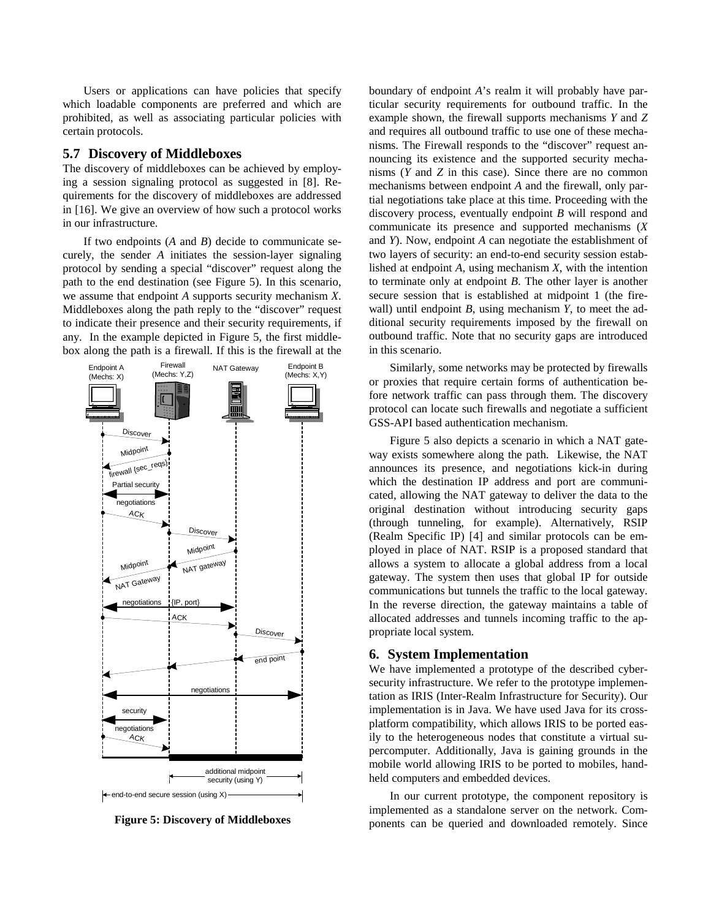Users or applications can have policies that specify which loadable components are preferred and which are prohibited, as well as associating particular policies with certain protocols.

## **5.7 Discovery of Middleboxes**

The discovery of middleboxes can be achieved by employing a session signaling protocol as suggested in [8]. Requirements for the discovery of middleboxes are addressed in [16]. We give an overview of how such a protocol works in our infrastructure.

If two endpoints (*A* and *B*) decide to communicate securely, the sender *A* initiates the session-layer signaling protocol by sending a special "discover" request along the path to the end destination (see Figure 5). In this scenario, we assume that endpoint *A* supports security mechanism *X*. Middleboxes along the path reply to the "discover" request to indicate their presence and their security requirements, if any. In the example depicted in Figure 5, the first middlebox along the path is a firewall. If this is the firewall at the



**Figure 5: Discovery of Middleboxes**

boundary of endpoint *A*'s realm it will probably have particular security requirements for outbound traffic. In the example shown, the firewall supports mechanisms *Y* and *Z* and requires all outbound traffic to use one of these mechanisms. The Firewall responds to the "discover" request announcing its existence and the supported security mechanisms (*Y* and *Z* in this case). Since there are no common mechanisms between endpoint *A* and the firewall, only partial negotiations take place at this time. Proceeding with the discovery process, eventually endpoint *B* will respond and communicate its presence and supported mechanisms (*X* and *Y*). Now, endpoint *A* can negotiate the establishment of two layers of security: an end-to-end security session established at endpoint *A*, using mechanism *X*, with the intention to terminate only at endpoint *B*. The other layer is another secure session that is established at midpoint 1 (the firewall) until endpoint *B*, using mechanism *Y*, to meet the additional security requirements imposed by the firewall on outbound traffic. Note that no security gaps are introduced in this scenario.

Similarly, some networks may be protected by firewalls or proxies that require certain forms of authentication before network traffic can pass through them. The discovery protocol can locate such firewalls and negotiate a sufficient GSS-API based authentication mechanism.

Figure 5 also depicts a scenario in which a NAT gateway exists somewhere along the path. Likewise, the NAT announces its presence, and negotiations kick-in during which the destination IP address and port are communicated, allowing the NAT gateway to deliver the data to the original destination without introducing security gaps (through tunneling, for example). Alternatively, RSIP (Realm Specific IP) [4] and similar protocols can be employed in place of NAT. RSIP is a proposed standard that allows a system to allocate a global address from a local gateway. The system then uses that global IP for outside communications but tunnels the traffic to the local gateway. In the reverse direction, the gateway maintains a table of allocated addresses and tunnels incoming traffic to the appropriate local system.

#### **6. System Implementation**

We have implemented a prototype of the described cybersecurity infrastructure. We refer to the prototype implementation as IRIS (Inter-Realm Infrastructure for Security). Our implementation is in Java. We have used Java for its crossplatform compatibility, which allows IRIS to be ported easily to the heterogeneous nodes that constitute a virtual supercomputer. Additionally, Java is gaining grounds in the mobile world allowing IRIS to be ported to mobiles, handheld computers and embedded devices.

In our current prototype, the component repository is implemented as a standalone server on the network. Components can be queried and downloaded remotely. Since